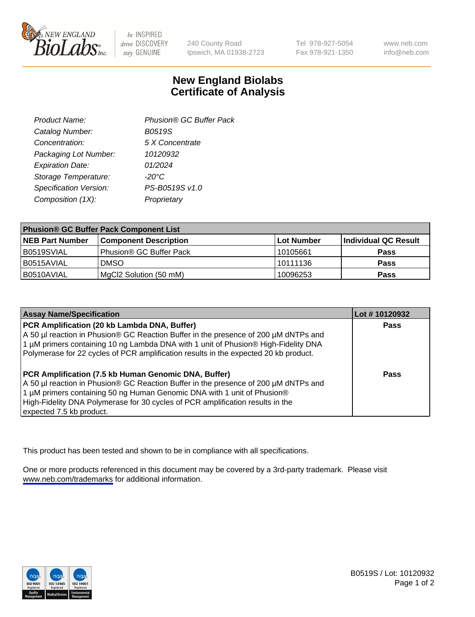

be INSPIRED drive DISCOVERY stay GENUINE

240 County Road Ipswich, MA 01938-2723 Tel 978-927-5054 Fax 978-921-1350

www.neb.com info@neb.com

## **New England Biolabs Certificate of Analysis**

| Product Name:           | Phusion® GC Buffer Pack |
|-------------------------|-------------------------|
| Catalog Number:         | B0519S                  |
| Concentration:          | 5 X Concentrate         |
| Packaging Lot Number:   | 10120932                |
| <b>Expiration Date:</b> | 01/2024                 |
| Storage Temperature:    | $-20^{\circ}$ C         |
| Specification Version:  | PS-B0519S v1.0          |
| Composition (1X):       | Proprietary             |
|                         |                         |

| <b>Phusion® GC Buffer Pack Component List</b> |                                     |                   |                      |  |
|-----------------------------------------------|-------------------------------------|-------------------|----------------------|--|
| <b>NEB Part Number</b>                        | <b>Component Description</b>        | <b>Lot Number</b> | Individual QC Result |  |
| B0519SVIAL                                    | Phusion <sup>®</sup> GC Buffer Pack | 10105661          | <b>Pass</b>          |  |
| B0515AVIAL                                    | <b>DMSO</b>                         | 10111136          | <b>Pass</b>          |  |
| B0510AVIAL                                    | MgCl2 Solution (50 mM)              | 10096253          | <b>Pass</b>          |  |

| <b>Assay Name/Specification</b>                                                                                                                                                                                                                                                                                                      | Lot #10120932 |
|--------------------------------------------------------------------------------------------------------------------------------------------------------------------------------------------------------------------------------------------------------------------------------------------------------------------------------------|---------------|
| PCR Amplification (20 kb Lambda DNA, Buffer)<br>A 50 µl reaction in Phusion® GC Reaction Buffer in the presence of 200 µM dNTPs and<br>1 μM primers containing 10 ng Lambda DNA with 1 unit of Phusion® High-Fidelity DNA<br>Polymerase for 22 cycles of PCR amplification results in the expected 20 kb product.                    | <b>Pass</b>   |
| PCR Amplification (7.5 kb Human Genomic DNA, Buffer)<br>A 50 µl reaction in Phusion® GC Reaction Buffer in the presence of 200 µM dNTPs and<br>1 µM primers containing 50 ng Human Genomic DNA with 1 unit of Phusion®<br>High-Fidelity DNA Polymerase for 30 cycles of PCR amplification results in the<br>expected 7.5 kb product. | <b>Pass</b>   |

This product has been tested and shown to be in compliance with all specifications.

One or more products referenced in this document may be covered by a 3rd-party trademark. Please visit <www.neb.com/trademarks>for additional information.